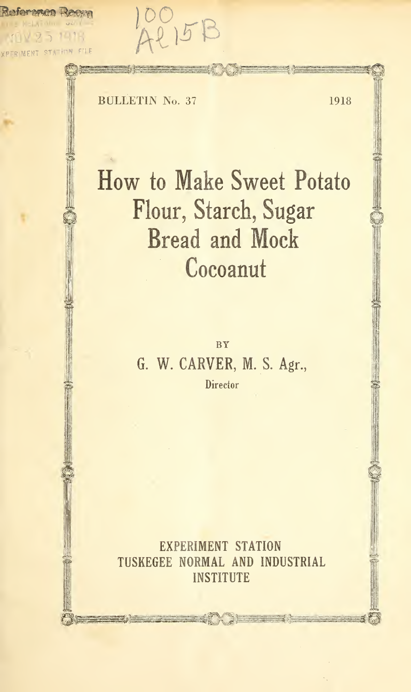**BULLETIN No. 37** 

 $5B$ 

1918

# **How to Make Sweet Potato** Flour, Starch, Sugar **Bread and Mock** Cocoanut

BY G. W. CARVER, M. S. Agr., Director

**EXPERIMENT STATION** TUSKEGEE NORMAL AND INDUSTRIAL **INSTITUTE**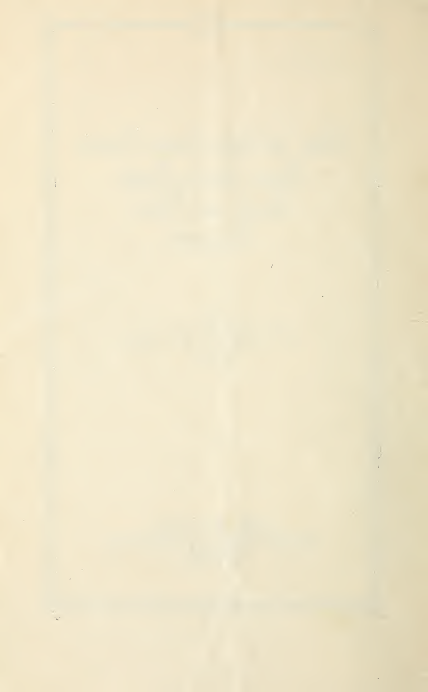$\frac{1}{4}$ 

 $\frac{1}{\sqrt{2}}$ 

J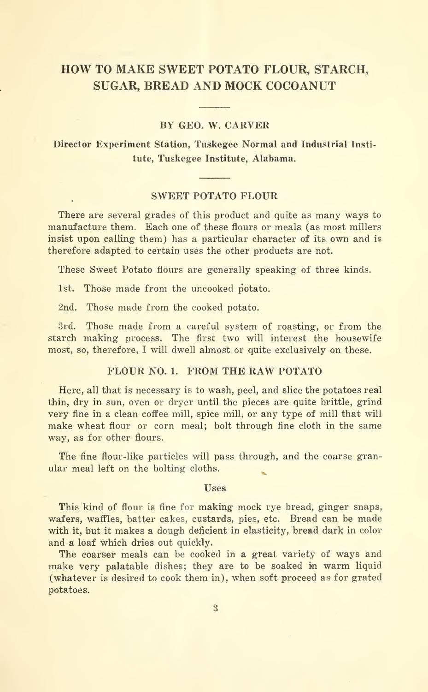## HOW TO MAKE SWEET POTATO FLOUR, STARCH, SUGAR, BREAD AND MOCK COCOANUT

#### BY GEO. W. CARVER

### Director Experiment Station, Tuskegee Normal and Industrial Insti tute, Tuskegee Institute, Alabama.

#### SWEET POTATO FLOUR

There are several grades of this product and quite as many ways to manufacture them. Each one of these flours or meals (as most millers insist upon calling them) has a particular character of its own and is therefore adapted to certain uses the other products are not.

These Sweet Potato flours are generally speaking of three kinds.

1st. Those made from the uncooked potato.

2nd. Those made from the cooked potato.

3rd. Those made from a careful system of roasting, or from the starch making process. The first two will interest the housewife most, so, therefore, I will dwell almost or quite exclusively on these.

#### FLOUR NO. 1. FROM THE RAW POTATO

Here, all that is necessary is to wash, peel, and slice the potatoes real thin, dry in sun, oven or dryer until the pieces are quite brittle, grind very fine in a clean coffee mill, spice mill, or any type of mill that will make wheat flour or corn meal; bolt through fine cloth in the same way, as for other flours.

The fine flour-like particles will pass through, and the coarse granular meal left on the bolting cloths.

Uses

This kind of flour is fine for making mock rye bread, ginger snaps, wafers, waffles, batter cakes, custards, pies, etc. Bread can be made with it, but it makes a dough deficient in elasticity, bread dark in color and a loaf which dries out quickly.

The coarser meals can be cooked in a great variety of ways and make very palatable dishes; they are to be soaked in warm liquid (whatever is desired to cook them in), when soft proceed as for grated potatoes.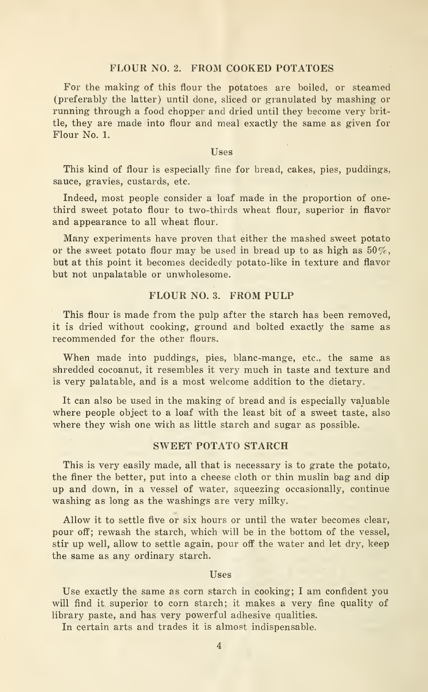#### FLOUR NO. 2. FROM COOKED POTATOES

For the making of this flour the potatoes are boiled, or steamed (preferably the latter) until done, sliced or granulated by mashing or running through a food chopper and dried until they become very brittle, they are made into flour and meal exactly the same as given for Flour No. 1.

#### Uses

This kind of flour is especially fine for bread, cakes, pies, puddings, sauce, gravies, custards, etc.

Indeed, most people consider a loaf made in the proportion of onethird sweet potato flour to two-thirds wheat flour, superior in flavor and appearance to all wheat flour.

Many experiments have proven that either the mashed sweet potato or the sweet potato flour may be used in bread up to as high as  $50\%$ , but at this point it becomes decidedly potato-like in texture and flavor but not unpalatable or unwholesome.

#### FLOUR NO. 3. FROM PULP

This flour is made from the pulp after the starch has been removed, it is dried without cooking, ground and bolted exactly the same as recommended for the other flours.

When made into puddings, pies, blanc-mange, etc., the same as shredded cocoanut, it resembles it very much in taste and texture and is very palatable, and is a most welcome addition to the dietary.

It can also be used in the making of bread and is especially valuable where people object to a loaf with the least bit of a sweet taste, also where they wish one with as little starch and sugar as possible.

#### SWEET POTATO STARCH

This is very easily made, all that is necessary is to grate the potato, the finer the better, put into a cheese cloth or thin muslin bag and dip up and down, in a vessel of water, squeezing occasionally, continue washing as long as the washings are very milky.

Allow it to settle five or six hours or until the water becomes clear, pour off; rewash the starch, which will be in the bottom of the vessel, stir up well, allow to settle again, pour off the water and let dry, keep the same as any ordinary starch.

#### Uses

Use exactly the same as corn starch in cooking; <sup>I</sup> am confident you will find it. superior to corn starch; it makes a very fine quality of library paste, and has very powerful adhesive qualities.

In certain arts and trades it is almost indispensable.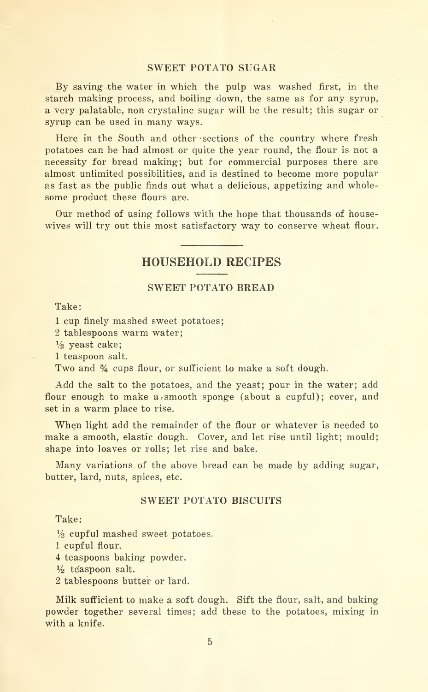#### SWEET POTATO SUGAR

By saving the water in which the pulp was washed first, in the starch making process, and boiling down, the same as for any syrup, a very palatable, non crystaline sugar will be the result; this sugar or syrup can be used in many ways.

Here in the South and other -sections of the country where fresh potatoes can be had almost or quite the year round, the flour is not a necessity for bread making; but for commercial purposes there are almost unlimited possibilities, and is destined to become more popular as fast as the public finds out what a delicious, appetizing and whole some product these flours are.

Our method of using follows with the hope that thousands of house wives will try out this most satisfactory way to conserve wheat flour.

## HOUSEHOLD RECIPES

#### SWEET POTATO BREAD

Take:

<sup>1</sup> cup finely mashed sweet potatoes;

<sup>2</sup> tablespoons warm water;

 $\frac{1}{2}$  yeast cake;

1 teaspoon salt.

Two and  $\frac{3}{4}$  cups flour, or sufficient to make a soft dough.

Add the salt to the potatoes, and the yeast; pour in the water; add flour enough to make a. smooth sponge (about a cupful); cover, and set in a warm place to rise.

When light add the remainder of the flour or whatever is needed to make a smooth, elastic dough. Cover, and let rise until light; mould; shape into loaves or rolls; let rise and bake.

Many variations of the above bread can be made by adding sugar, butter, lard, nuts, spices, etc.

#### SWEET POTATO BISCUITS

Take:

 $\frac{1}{2}$  cupful mashed sweet potatoes. 1 cupful flour. 4 teaspoons baking powder.  $\frac{1}{2}$  teaspoon salt. 2 tablespoons butter or lard.

Milk sufficient to make a soft dough. Sift the flour, salt, and baking powder together several times; add these to the potatoes, mixing in with a knife.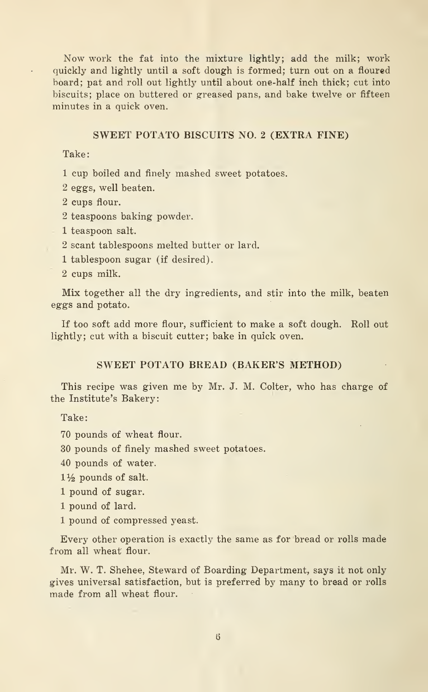Now work the fat into the mixture lightly; add the milk; work quickly and lightly until a soft dough is formed; turn out on a floured board; pat and roll out lightly until about one-half inch thick; cut into biscuits; place on buttered or greased pans, and bake twelve or fifteen minutes in a quick oven.

#### SWEET POTATO BISCUITS NO. <sup>2</sup> (EXTRA FINE)

Take:

- <sup>1</sup> cup boiled and finely mashed sweet potatoes.
- 2 eggs, well beaten.
- 2 cups flour.
- 2 teaspoons baking powder.
- 1 teaspoon salt.
- 2 scant tablespoons melted butter or lard.
- 1 tablespoon sugar (if desired).
- 2 cups milk.

Mix together all the dry ingredients, and stir into the milk, beaten eggs and potato.

If too soft add more flour, sufficient to make a soft dough. Roll out lightly; cut with a biscuit cutter; bake in quick oven.

#### SWEET POTATO BREAD (BAKER'S METHOD)

This recipe was given me by Mr. J. M. Colter, who has charge of the Institute's Bakery:

Take:

70 pounds of wheat flour.

30 pounds of finely mashed sweet potatoes.

40 pounds of water.

 $1\frac{1}{2}$  pounds of salt.

<sup>1</sup> pound of sugar.

<sup>1</sup> pound of lard.

<sup>1</sup> pound of compressed yeast.

Every other operation is exactly the same as for bread or rolls made from all wheat flour.

Mr. W. T. Shehee, Steward of Boarding Department, says it not only gives universal satisfaction, but is preferred by many tobread or rolls made from all wheat flour.